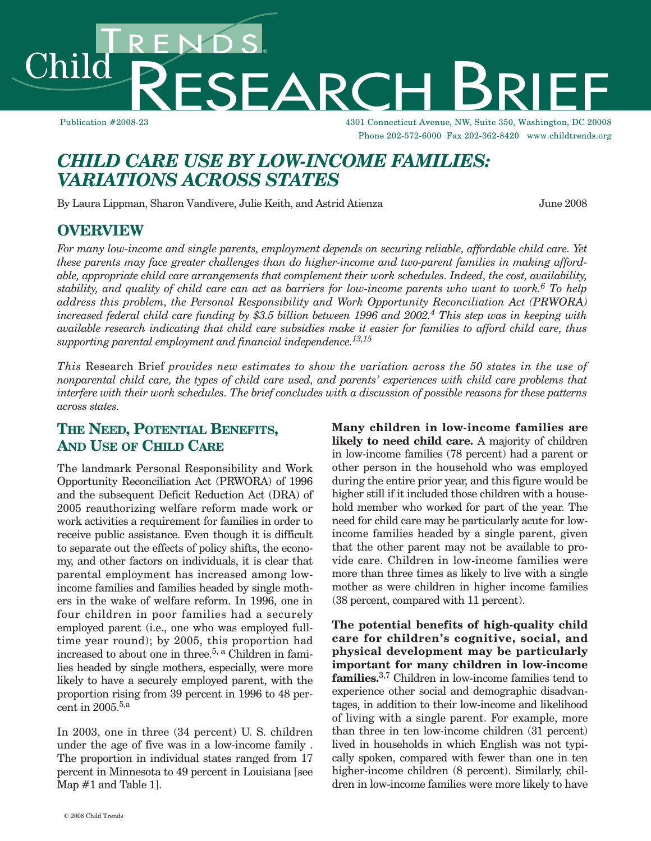hild

Publication #2008-23 4301 Connecticut Avenue, NW, Suite 350, Washington, DC 20008 Phone 202-572-6000 Fax 202-362-8420 www.childtrends.org

# *CHILD CARE USE BY LOW-INCOME FAMILIES: VARIATIONS ACROSS STATES*

SEARCH

By Laura Lippman, Sharon Vandivere, Julie Keith, and Astrid Atienza June 2008

### **OVERVIEW**

*For many low-income and single parents, employment depends on securing reliable, affordable child care. Yet these parents may face greater challenges than do higher-income and two-parent families in making affordable, appropriate child care arrangements that complement their work schedules. Indeed, the cost, availability,* stability, and quality of child care can act as barriers for low-income parents who want to work.  $^6$  To help *address this problem, the Personal Responsibility and Work Opportunity Reconciliation Act (PRWORA)* increased federal child care funding by \$3.5 billion between 1996 and 2002. $^4$  This step was in keeping with available research indicating that child care subsidies make it easier for families to afford child care, thus *supporting parental employment and financial independence. 13,15*

*This* Research Brief *provides new estimates to show the variation across the 50 states in the use of* nonparental child care, the types of child care used, and parents' experiences with child care problems that interfere with their work schedules. The brief concludes with a discussion of possible reasons for these patterns *across states.*

## **THE NEED, POTENTIAL BENEFITS, AND USE OF CHILD CARE**

The landmark Personal Responsibility and Work Opportunity Reconciliation Act (PRWORA) of 1996 and the subsequent Deficit Reduction Act (DRA) of 2005 reauthorizing welfare reform made work or work activities a requirement for families in order to receive public assistance. Even though it is difficult to separate out the effects of policy shifts, the economy, and other factors on individuals, it is clear that parental employment has increased among lowincome families and families headed by single mothers in the wake of welfare reform. In 1996, one in four children in poor families had a securely employed parent (i.e., one who was employed fulltime year round); by 2005, this proportion had increased to about one in three. 5, <sup>a</sup> Children in families headed by single mothers, especially, were more likely to have a securely employed parent, with the proportion rising from 39 percent in 1996 to 48 percent in 2005. 5,a

In 2003, one in three (34 percent) U. S. children under the age of five was in a low-income family . The proportion in individual states ranged from 17 percent in Minnesota to 49 percent in Louisiana [see Map #1 and Table 1].

**Many children in low-income families are likely to need child care.** A majority of children in low-income families (78 percent) had a parent or other person in the household who was employed during the entire prior year, and this figure would be higher still if it included those children with a household member who worked for part of the year. The need for child care may be particularly acute for lowincome families headed by a single parent, given that the other parent may not be available to provide care. Children in low-income families were more than three times as likely to live with a single mother as were children in higher income families (38 percent, compared with 11 percent).

**The potential benefits of high-quality child care for children's cognitive, social, and physical development may be particularly important for many children in low-income families.** 3,7 Children in low-income families tend to experience other social and demographic disadvantages, in addition to their low-income and likelihood of living with a single parent. For example, more than three in ten low-income children (31 percent) lived in households in which English was not typically spoken, compared with fewer than one in ten higher-income children (8 percent). Similarly, children in low-income families were more likely to have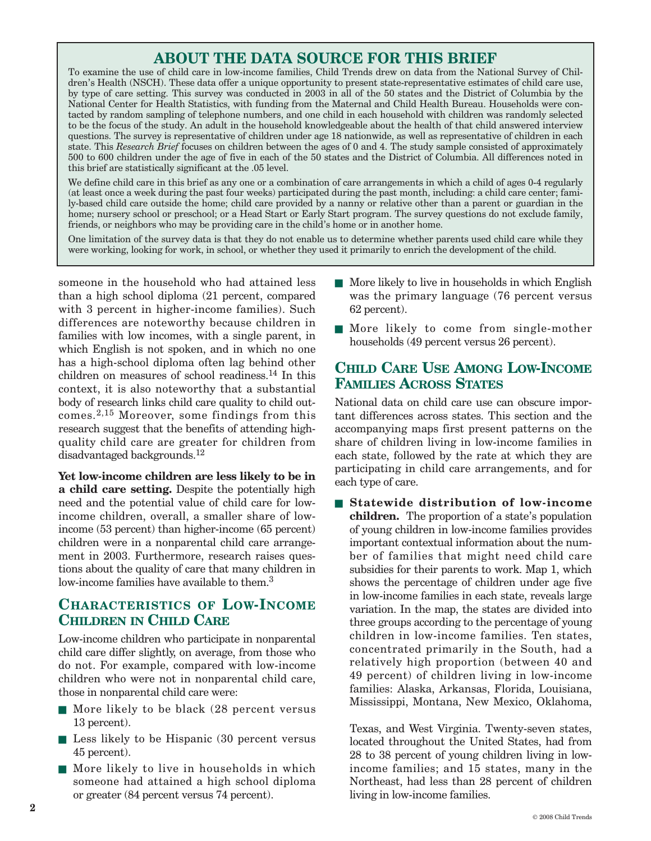# **ABOUT THE DATA SOURCE FOR THIS BRIEF**

To examine the use of child care in low-income families, Child Trends drew on data from the National Survey of Children's Health (NSCH). These data offer a unique opportunity to present state-representative estimates of child care use, by type of care setting. This survey was conducted in 2003 in all of the 50 states and the District of Columbia by the National Center for Health Statistics, with funding from the Maternal and Child Health Bureau. Households were contacted by random sampling of telephone numbers, and one child in each household with children was randomly selected to be the focus of the study. An adult in the household knowledgeable about the health of that child answered interview questions. The survey is representative of children under age 18 nationwide, as well as representative of children in each state. This *Research Brief* focuses on children between the ages of 0 and 4. The study sample consisted of approximately 500 to 600 children under the age of five in each of the 50 states and the District of Columbia. All differences noted in this brief are statistically significant at the .05 level.

We define child care in this brief as any one or a combination of care arrangements in which a child of ages 0-4 regularly (at least once a week during the past four weeks) participated during the past month, including: a child care center; family-based child care outside the home; child care provided by a nanny or relative other than a parent or guardian in the home; nursery school or preschool; or a Head Start or Early Start program. The survey questions do not exclude family, friends, or neighbors who may be providing care in the child's home or in another home.

One limitation of the survey data is that they do not enable us to determine whether parents used child care while they were working, looking for work, in school, or whether they used it primarily to enrich the development of the child.

someone in the household who had attained less than a high school diploma (21 percent, compared with 3 percent in higher-income families). Such differences are noteworthy because children in families with low incomes, with a single parent, in which English is not spoken, and in which no one has a high-school diploma often lag behind other children on measures of school readiness. <sup>14</sup> In this context, it is also noteworthy that a substantial body of research links child care quality to child outcomes.2,15 Moreover, some findings from this research suggest that the benefits of attending highquality child care are greater for children from disadvantaged backgrounds. 12

**Yet low-income children are less likely to be in a child care setting.** Despite the potentially high need and the potential value of child care for lowincome children, overall, a smaller share of lowincome (53 percent) than higher-income (65 percent) children were in a nonparental child care arrangement in 2003. Furthermore, research raises questions about the quality of care that many children in low-income families have available to them. 3

## **CHARACTERISTICS OF LOW-INCOME CHILDREN IN CHILD CARE**

Low-income children who participate in nonparental child care differ slightly, on average, from those who do not. For example, compared with low-income children who were not in nonparental child care, those in nonparental child care were:

- More likely to be black (28 percent versus 13 percent).
- Less likely to be Hispanic (30 percent versus 45 percent).
- More likely to live in households in which someone had attained a high school diploma or greater (84 percent versus 74 percent).
- More likely to live in households in which English was the primary language (76 percent versus 62 percent).
- More likely to come from single-mother households (49 percent versus 26 percent).

## **CHILD CARE USE AMONG LOW-INCOME FAMILIES ACROSS STATES**

National data on child care use can obscure important differences across states. This section and the accompanying maps first present patterns on the share of children living in low-income families in each state, followed by the rate at which they are participating in child care arrangements, and for each type of care.

■ **Statewide** distribution of low-income **children.** The proportion of a state's population of young children in low-income families provides important contextual information about the number of families that might need child care subsidies for their parents to work. Map 1, which shows the percentage of children under age five in low-income families in each state, reveals large variation. In the map, the states are divided into three groups according to the percentage of young children in low-income families. Ten states, concentrated primarily in the South, had a relatively high proportion (between 40 and 49 percent) of children living in low-income families: Alaska, Arkansas, Florida, Louisiana, Mississippi, Montana, New Mexico, Oklahoma,

Texas, and West Virginia. Twenty-seven states, located throughout the United States, had from 28 to 38 percent of young children living in lowincome families; and 15 states, many in the Northeast, had less than 28 percent of children living in low-income families.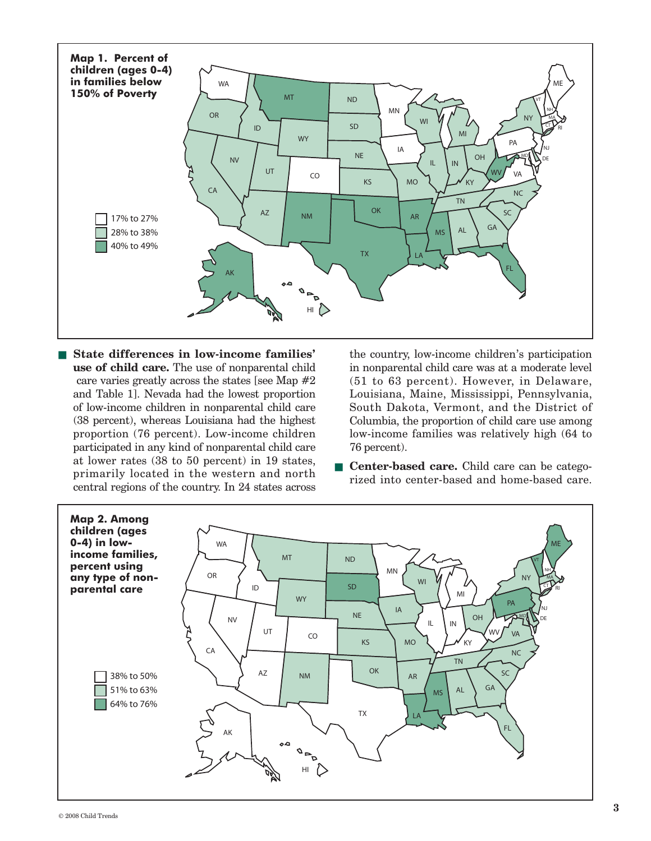

■ **State differences in low-income families' use of child care.** The use of nonparental child care varies greatly across the states [see Map #2 and Table 1]. Nevada had the lowest proportion of low-income children in nonparental child care (38 percent), whereas Louisiana had the highest proportion (76 percent). Low-income children participated in any kind of nonparental child care at lower rates (38 to 50 percent) in 19 states, primarily located in the western and north central regions of the country. In 24 states across

the country, low-income children's participation in nonparental child care was at a moderate level (51 to 63 percent). However, in Delaware, Louisiana, Maine, Mississippi, Pennsylvania, South Dakota, Vermont, and the District of Columbia, the proportion of child care use among low-income families was relatively high (64 to 76 percent).

■ **Center-based care.** Child care can be categorized into center-based and home-based care.

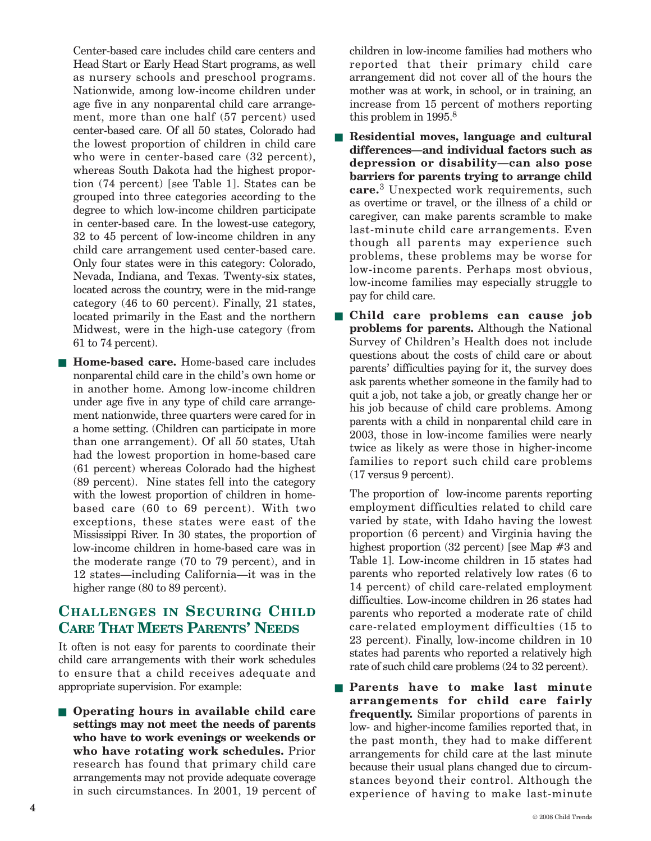Center-based care includes child care centers and Head Start or Early Head Start programs, as well as nursery schools and preschool programs. Nationwide, among low-income children under age five in any nonparental child care arrangement, more than one half (57 percent) used center-based care. Of all 50 states, Colorado had the lowest proportion of children in child care who were in center-based care (32 percent), whereas South Dakota had the highest proportion (74 percent) [see Table 1]. States can be grouped into three categories according to the degree to which low-income children participate in center-based care. In the lowest-use category, 32 to 45 percent of low-income children in any child care arrangement used center-based care. Only four states were in this category: Colorado, Nevada, Indiana, and Texas. Twenty-six states, located across the country, were in the mid-range category (46 to 60 percent). Finally, 21 states, located primarily in the East and the northern Midwest, were in the high-use category (from 61 to 74 percent).

■ **Home-based care.** Home-based care includes nonparental child care in the child's own home or in another home. Among low-income children under age five in any type of child care arrangement nationwide, three quarters were cared for in a home setting. (Children can participate in more than one arrangement). Of all 50 states, Utah had the lowest proportion in home-based care (61 percent) whereas Colorado had the highest (89 percent). Nine states fell into the category with the lowest proportion of children in homebased care (60 to 69 percent). With two exceptions, these states were east of the Mississippi River. In 30 states, the proportion of low-income children in home-based care was in the moderate range (70 to 79 percent), and in 12 states—including California—it was in the higher range (80 to 89 percent).

## **CHALLENGES IN SECURING CHILD CARE THAT MEETS PARENTS' NEEDS**

It often is not easy for parents to coordinate their child care arrangements with their work schedules to ensure that a child receives adequate and appropriate supervision. For example:

■ **Operating hours in available child care settings may not meet the needs of parents who have to work evenings or weekends or who have rotating work schedules.** Prior research has found that primary child care arrangements may not provide adequate coverage in such circumstances. In 2001, 19 percent of children in low-income families had mothers who reported that their primary child care arrangement did not cover all of the hours the mother was at work, in school, or in training, an increase from 15 percent of mothers reporting this problem in 1995. 8

- **Residential moves, language and cultural differences—and individual factors such as depression or disability—can also pose barriers for parents trying to arrange child care.** <sup>3</sup> Unexpected work requirements, such as overtime or travel, or the illness of a child or caregiver, can make parents scramble to make last-minute child care arrangements. Even though all parents may experience such problems, these problems may be worse for low-income parents. Perhaps most obvious, low-income families may especially struggle to pay for child care.
- **Child care problems can cause job problems for parents.** Although the National Survey of Children's Health does not include questions about the costs of child care or about parents' difficulties paying for it, the survey does ask parents whether someone in the family had to quit a job, not take a job, or greatly change her or his job because of child care problems. Among parents with a child in nonparental child care in 2003, those in low-income families were nearly twice as likely as were those in higher-income families to report such child care problems (17 versus 9 percent).

The proportion of low-income parents reporting employment difficulties related to child care varied by state, with Idaho having the lowest proportion (6 percent) and Virginia having the highest proportion (32 percent) [see Map #3 and Table 1]. Low-income children in 15 states had parents who reported relatively low rates (6 to 14 percent) of child care-related employment difficulties. Low-income children in 26 states had parents who reported a moderate rate of child care-related employment difficulties (15 to 23 percent). Finally, low-income children in 10 states had parents who reported a relatively high rate of such child care problems (24 to 32 percent).

■ **Parents have to make last minute arrangements for child care fairly frequently.** Similar proportions of parents in low- and higher-income families reported that, in the past month, they had to make different arrangements for child care at the last minute because their usual plans changed due to circumstances beyond their control. Although the experience of having to make last-minute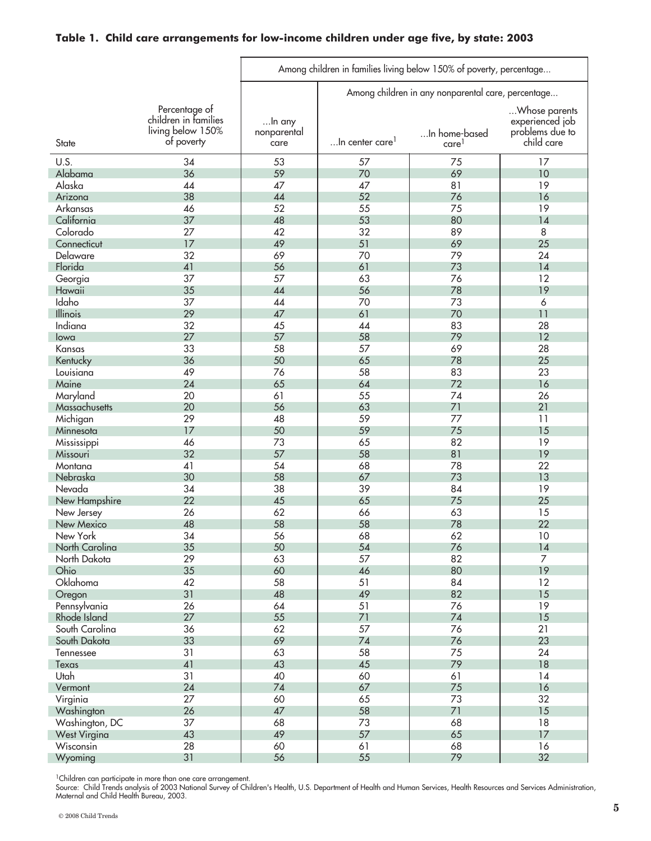#### **Table 1. Child care arrangements for low-income children under age five, by state: 2003**

|                     |                                                                          | Among children in families living below 150% of poverty, percentage |                                                    |                                    |                                                                   |
|---------------------|--------------------------------------------------------------------------|---------------------------------------------------------------------|----------------------------------------------------|------------------------------------|-------------------------------------------------------------------|
|                     |                                                                          |                                                                     | Among children in any nonparental care, percentage |                                    |                                                                   |
| State               | Percentage of<br>children in families<br>living below 150%<br>of poverty | In any<br>nonparental<br>care                                       | In center care!                                    | In home-based<br>care <sup>1</sup> | Whose parents<br>experienced job<br>problems due to<br>child care |
| U.S.                | 34                                                                       | 53                                                                  | 57                                                 | 75                                 | 17                                                                |
| Alabama             | 36                                                                       | 59                                                                  | 70                                                 | 69                                 | 10                                                                |
| Alaska              | 44                                                                       | 47                                                                  | 47                                                 | 81                                 | 19                                                                |
| Arizona             | 38                                                                       | 44                                                                  | 52                                                 | 76                                 | 16                                                                |
| Arkansas            | 46                                                                       | 52                                                                  | 55                                                 | 75                                 | 19                                                                |
| California          | 37                                                                       | 48                                                                  | 53                                                 | 80                                 | 14                                                                |
| Colorado            | 27                                                                       | 42                                                                  | 32                                                 | 89                                 | 8                                                                 |
| Connecticut         | 17                                                                       | 49                                                                  | 51                                                 | 69                                 | 25                                                                |
| Delaware            | 32                                                                       | 69                                                                  | 70<br>61                                           | 79                                 | 24                                                                |
| Florida             | 41<br>37                                                                 | 56<br>57                                                            | 63                                                 | 73<br>76                           | 14<br>12                                                          |
| Georgia<br>Hawaii   | 35                                                                       | 44                                                                  | 56                                                 | 78                                 | 19                                                                |
| Idaho               | 37                                                                       | 44                                                                  | 70                                                 | 73                                 | $\boldsymbol{6}$                                                  |
| Illinois            | 29                                                                       | 47                                                                  | 61                                                 | 70                                 | 11                                                                |
| Indiana             | 32                                                                       | 45                                                                  | 44                                                 | 83                                 | 28                                                                |
| lowa                | 27                                                                       | 57                                                                  | 58                                                 | 79                                 | 12                                                                |
| Kansas              | 33                                                                       | 58                                                                  | 57                                                 | 69                                 | 28                                                                |
| Kentucky            | 36                                                                       | 50                                                                  | 65                                                 | 78                                 | 25                                                                |
| Louisiana           | 49                                                                       | 76                                                                  | 58                                                 | 83                                 | 23                                                                |
| Maine               | 24                                                                       | 65                                                                  | 64                                                 | 72                                 | 16                                                                |
| Maryland            | 20                                                                       | 61                                                                  | 55                                                 | 74                                 | 26                                                                |
| Massachusetts       | 20                                                                       | 56                                                                  | 63                                                 | 71                                 | 21                                                                |
| Michigan            | 29                                                                       | 48                                                                  | 59                                                 | 77                                 | 11                                                                |
| Minnesota           | 17                                                                       | 50                                                                  | 59                                                 | 75                                 | 15                                                                |
| Mississippi         | 46                                                                       | 73                                                                  | 65                                                 | 82                                 | 19                                                                |
| Missouri            | 32                                                                       | 57                                                                  | 58                                                 | 81                                 | 19                                                                |
| Montana<br>Nebraska | 41<br>30                                                                 | 54<br>58                                                            | 68<br>67                                           | 78<br>73                           | 22<br>13                                                          |
| Nevada              | 34                                                                       | 38                                                                  | 39                                                 | 84                                 | 19                                                                |
| New Hampshire       | 22                                                                       | 45                                                                  | 65                                                 | 75                                 | 25                                                                |
| New Jersey          | 26                                                                       | 62                                                                  | 66                                                 | 63                                 | 15                                                                |
| New Mexico          | 48                                                                       | 58                                                                  | 58                                                 | 78                                 | 22                                                                |
| New York            | 34                                                                       | 56                                                                  | 68                                                 | 62                                 | 10                                                                |
| North Carolina      | 35                                                                       | 50                                                                  | 54                                                 | 76                                 | 14                                                                |
| North Dakota        | 29                                                                       | 63                                                                  | 57                                                 | 82                                 | $\overline{7}$                                                    |
| Ohio                | 35                                                                       | 60                                                                  | 46                                                 | 80                                 | 19                                                                |
| Oklahoma            | 42                                                                       | 58                                                                  | 51                                                 | 84                                 | 12                                                                |
| Oregon              | 31                                                                       | 48                                                                  | 49                                                 | 82                                 | 15                                                                |
| Pennsylvania        | 26                                                                       | 64                                                                  | 51                                                 | 76                                 | 19                                                                |
| Rhode Island        | 27                                                                       | 55                                                                  | 71                                                 | 74                                 | 15                                                                |
| South Carolina      | 36                                                                       | 62                                                                  | 57                                                 | 76                                 | 21                                                                |
| South Dakota        | 33                                                                       | 69                                                                  | 74                                                 | 76                                 | 23                                                                |
| Tennessee           | 31<br>41                                                                 | 63<br>43                                                            | 58<br>45                                           | 75<br>79                           | 24<br>18                                                          |
| Texas<br>Utah       | 31                                                                       | 40                                                                  | 60                                                 | 61                                 | 14                                                                |
| Vermont             | 24                                                                       | 74                                                                  | 67                                                 | 75                                 | 16                                                                |
| Virginia            | 27                                                                       | 60                                                                  | 65                                                 | 73                                 | 32                                                                |
| Washington          | 26                                                                       | 47                                                                  | 58                                                 | 71                                 | 15                                                                |
| Washington, DC      | 37                                                                       | 68                                                                  | 73                                                 | 68                                 | 18                                                                |
| <b>West Virgina</b> | 43                                                                       | 49                                                                  | 57                                                 | 65                                 | 17                                                                |
| Wisconsin           | 28                                                                       | 60                                                                  | 61                                                 | 68                                 | 16                                                                |
| Wyoming             | 31                                                                       | 56                                                                  | 55                                                 | 79                                 | 32                                                                |

<sup>1</sup>Children can participate in more than one care arrangement.

Source: Child Trends analysis of 2003 National Survey of Children's Health, U.S. Department of Health and Human Services, Health Resources and Services Administration, Maternal and Child Health Bureau, 2003.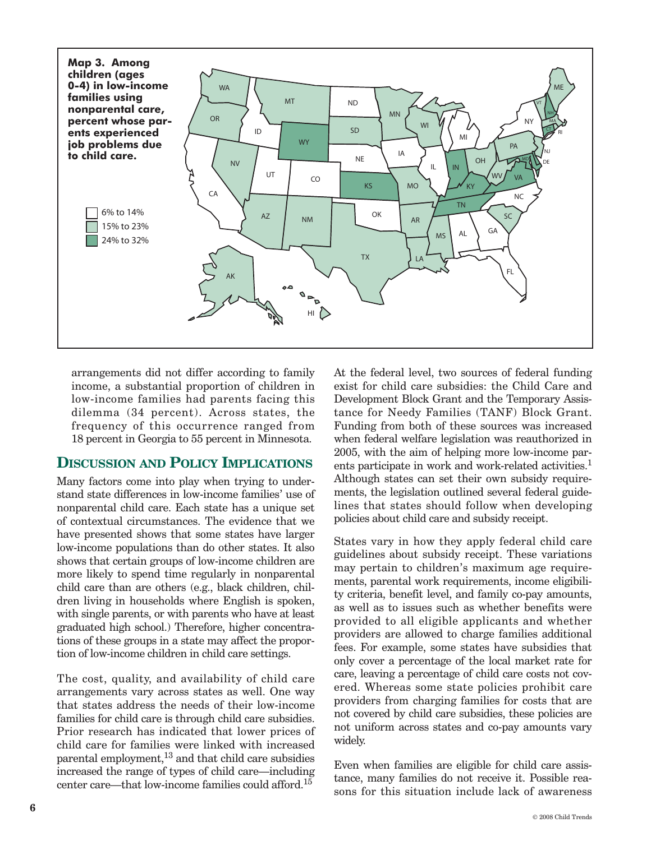

arrangements did not differ according to family income, a substantial proportion of children in low-income families had parents facing this dilemma (34 percent). Across states, the frequency of this occurrence ranged from 18 percent in Georgia to 55 percent in Minnesota.

## **DISCUSSION AND POLICY IMPLICATIONS**

Many factors come into play when trying to understand state differences in low-income families' use of nonparental child care. Each state has a unique set of contextual circumstances. The evidence that we have presented shows that some states have larger low-income populations than do other states. It also shows that certain groups of low-income children are more likely to spend time regularly in nonparental child care than are others (e.g., black children, children living in households where English is spoken, with single parents, or with parents who have at least graduated high school.) Therefore, higher concentrations of these groups in a state may affect the proportion of low-income children in child care settings.

The cost, quality, and availability of child care arrangements vary across states as well. One way that states address the needs of their low-income families for child care is through child care subsidies. Prior research has indicated that lower prices of child care for families were linked with increased parental employment,<sup>13</sup> and that child care subsidies increased the range of types of child care—including center care—that low-income families could afford. 15

At the federal level, two sources of federal funding exist for child care subsidies: the Child Care and Development Block Grant and the Temporary Assistance for Needy Families (TANF) Block Grant. Funding from both of these sources was increased when federal welfare legislation was reauthorized in 2005, with the aim of helping more low-income parents participate in work and work-related activities. 1 Although states can set their own subsidy requirements, the legislation outlined several federal guidelines that states should follow when developing policies about child care and subsidy receipt.

States vary in how they apply federal child care guidelines about subsidy receipt. These variations may pertain to children's maximum age requirements, parental work requirements, income eligibility criteria, benefit level, and family co-pay amounts, as well as to issues such as whether benefits were provided to all eligible applicants and whether providers are allowed to charge families additional fees. For example, some states have subsidies that only cover a percentage of the local market rate for care, leaving a percentage of child care costs not covered. Whereas some state policies prohibit care providers from charging families for costs that are not covered by child care subsidies, these policies are not uniform across states and co-pay amounts vary widely.

Even when families are eligible for child care assistance, many families do not receive it. Possible reasons for this situation include lack of awareness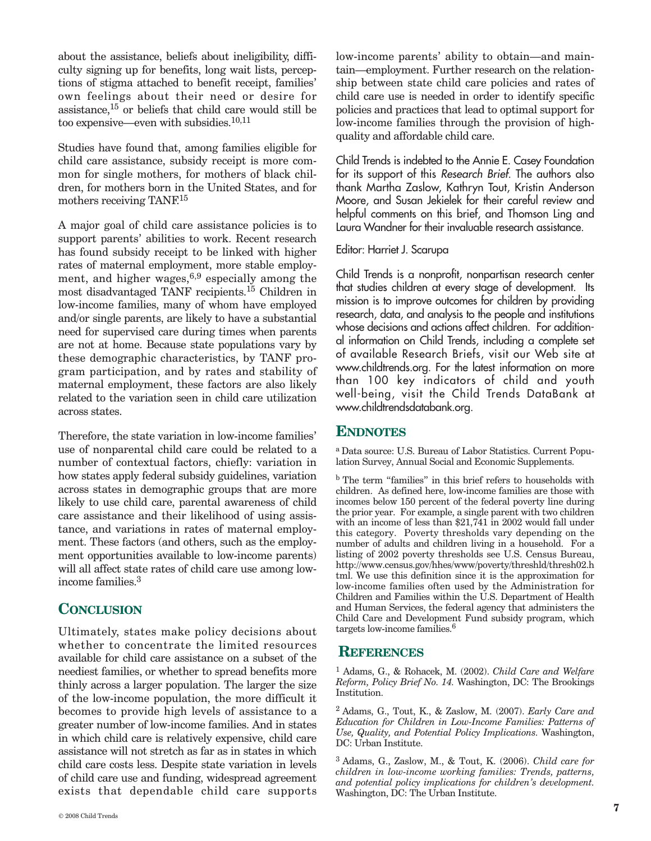about the assistance, beliefs about ineligibility, difficulty signing up for benefits, long wait lists, perceptions of stigma attached to benefit receipt, families' own feelings about their need or desire for assistance, <sup>15</sup> or beliefs that child care would still be too expensive—even with subsidies. 10,11

Studies have found that, among families eligible for child care assistance, subsidy receipt is more common for single mothers, for mothers of black children, for mothers born in the United States, and for mothers receiving TANF.<sup>15</sup>

A major goal of child care assistance policies is to support parents' abilities to work. Recent research has found subsidy receipt to be linked with higher rates of maternal employment, more stable employment, and higher wages, 6,9 especially among the most disadvantaged TANF recipients. <sup>15</sup> Children in low-income families, many of whom have employed and/or single parents, are likely to have a substantial need for supervised care during times when parents are not at home. Because state populations vary by these demographic characteristics, by TANF program participation, and by rates and stability of maternal employment, these factors are also likely related to the variation seen in child care utilization across states.

Therefore, the state variation in low-income families' use of nonparental child care could be related to a number of contextual factors, chiefly: variation in how states apply federal subsidy guidelines, variation across states in demographic groups that are more likely to use child care, parental awareness of child care assistance and their likelihood of using assistance, and variations in rates of maternal employment. These factors (and others, such as the employment opportunities available to low-income parents) will all affect state rates of child care use among lowincome families. 3

#### **CONCLUSION**

Ultimately, states make policy decisions about whether to concentrate the limited resources available for child care assistance on a subset of the neediest families, or whether to spread benefits more thinly across a larger population. The larger the size of the low-income population, the more difficult it becomes to provide high levels of assistance to a greater number of low-income families. And in states in which child care is relatively expensive, child care assistance will not stretch as far as in states in which child care costs less. Despite state variation in levels of child care use and funding, widespread agreement exists that dependable child care supports low-income parents' ability to obtain—and maintain—employment. Further research on the relationship between state child care policies and rates of child care use is needed in order to identify specific policies and practices that lead to optimal support for low-income families through the provision of highquality and affordable child care.

Child Trends is indebted to the Annie E. Casey Foundation for its support of this *Research Brief*. The authors also thank Martha Zaslow, Kathryn Tout, Kristin Anderson Moore, and Susan Jekielek for their careful review and helpful comments on this brief, and Thomson Ling and Laura Wandner for their invaluable research assistance.

Editor: Harriet J. Scarupa

Child Trends is a nonprofit, nonpartisan research center that studies children at every stage of development. Its mission is to improve outcomes for children by providing research, data, and analysis to the people and institutions whose decisions and actions affect children. For additional information on Child Trends, including a complete set of available Research Briefs, visit our Web site at www.childtrends.org. For the latest information on more than 100 key indicators of child and youth well-being, visit the Child Trends DataBank at www.childtrendsdatabank.org.

#### **ENDNOTES**

<sup>a</sup> Data source: U.S. Bureau of Labor Statistics. Current Population Survey, Annual Social and Economic Supplements.

<sup>b</sup> The term "families" in this brief refers to households with children. As defined here, low-income families are those with incomes below 150 percent of the federal poverty line during the prior year. For example, a single parent with two children with an income of less than \$21,741 in 2002 would fall under this category. Poverty thresholds vary depending on the number of adults and children living in a household. For a listing of 2002 poverty thresholds see U.S. Census Bureau, http://www.census.gov/hhes/www/poverty/threshld/thresh02.h tml. We use this definition since it is the approximation for low-income families often used by the Administration for Children and Families within the U.S. Department of Health and Human Services, the federal agency that administers the Child Care and Development Fund subsidy program, which targets low-income families. 6

#### **REFERENCES**

<sup>1</sup> Adams, G., & Rohacek, M. (2002). *Child Care and Welfare Reform, Policy Brief No. 14.* Washington, DC: The Brookings Institution.

<sup>2</sup> Adams, G., Tout, K., & Zaslow, M. (2007). *Early Care and Education for Children in Low-Income Families: Patterns of Use, Quality, and Potential Policy Implications.* Washington, DC: Urban Institute.

<sup>3</sup> Adams, G., Zaslow, M., & Tout, K. (2006). *Child care for children in low-income working families: Trends, patterns, and potential policy implications for children's development.* Washington, DC: The Urban Institute.